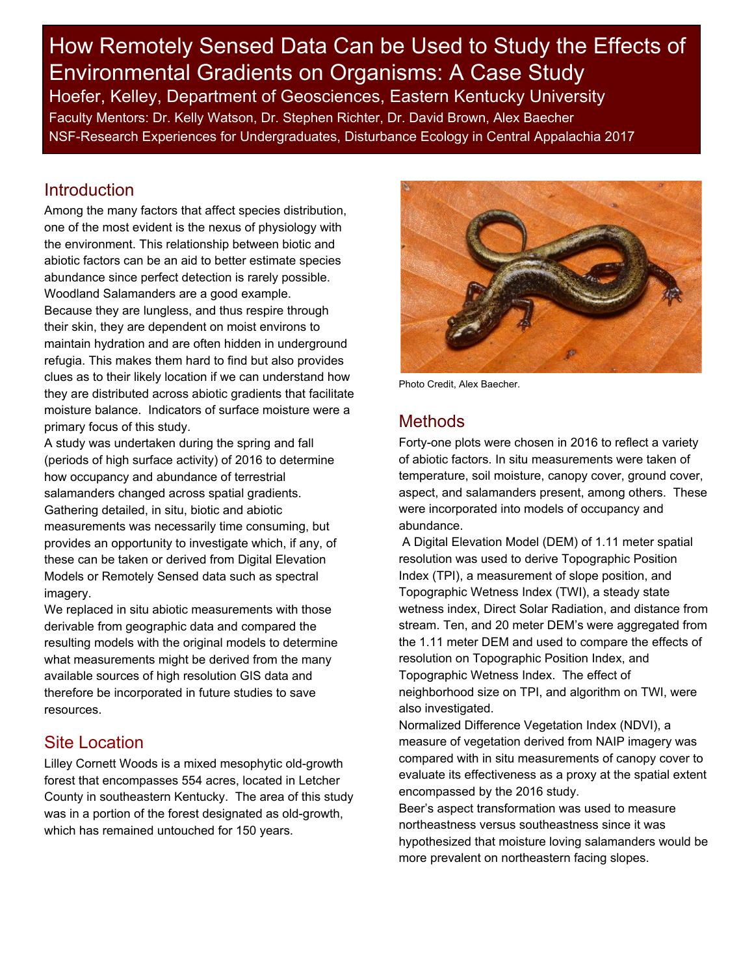How Remotely Sensed Data Can be Used to Study the Effects of Environmental Gradients on Organisms: A Case Study Hoefer, Kelley, Department of Geosciences, Eastern Kentucky University Faculty Mentors: Dr. Kelly Watson, Dr. Stephen Richter, Dr. David Brown, Alex Baecher NSF-Research Experiences for Undergraduates, Disturbance Ecology in Central Appalachia 2017

#### Introduction

Among the many factors that affect species distribution, one of the most evident is the nexus of physiology with the environment. This relationship between biotic and abiotic factors can be an aid to better estimate species abundance since perfect detection is rarely possible. Woodland Salamanders are a good example. Because they are lungless, and thus respire through their skin, they are dependent on moist environs to maintain hydration and are often hidden in underground refugia. This makes them hard to find but also provides clues as to their likely location if we can understand how they are distributed across abiotic gradients that facilitate moisture balance. Indicators of surface moisture were a primary focus of this study.

A study was undertaken during the spring and fall (periods of high surface activity) of 2016 to determine how occupancy and abundance of terrestrial salamanders changed across spatial gradients. Gathering detailed, in situ, biotic and abiotic measurements was necessarily time consuming, but provides an opportunity to investigate which, if any, of these can be taken or derived from Digital Elevation Models or Remotely Sensed data such as spectral imagery.

We replaced in situ abiotic measurements with those derivable from geographic data and compared the resulting models with the original models to determine what measurements might be derived from the many available sources of high resolution GIS data and therefore be incorporated in future studies to save resources.

# Site Location

Lilley Cornett Woods is a mixed mesophytic old-growth forest that encompasses 554 acres, located in Letcher County in southeastern Kentucky. The area of this study was in a portion of the forest designated as old-growth, which has remained untouched for 150 years.



Photo Credit, Alex Baecher.

### Methods

Forty-one plots were chosen in 2016 to reflect a variety of abiotic factors. In situ measurements were taken of temperature, soil moisture, canopy cover, ground cover, aspect, and salamanders present, among others. These were incorporated into models of occupancy and abundance.

A Digital Elevation Model (DEM) of 1.11 meter spatial resolution was used to derive Topographic Position Index (TPI), a measurement of slope position, and Topographic Wetness Index (TWI), a steady state wetness index, Direct Solar Radiation, and distance from stream. Ten, and 20 meter DEM's were aggregated from the 1.11 meter DEM and used to compare the effects of resolution on Topographic Position Index, and Topographic Wetness Index. The effect of neighborhood size on TPI, and algorithm on TWI, were also investigated.

Normalized Difference Vegetation Index (NDVI), a measure of vegetation derived from NAIP imagery was compared with in situ measurements of canopy cover to evaluate its effectiveness as a proxy at the spatial extent encompassed by the 2016 study.

Beer's aspect transformation was used to measure northeastness versus southeastness since it was hypothesized that moisture loving salamanders would be more prevalent on northeastern facing slopes.